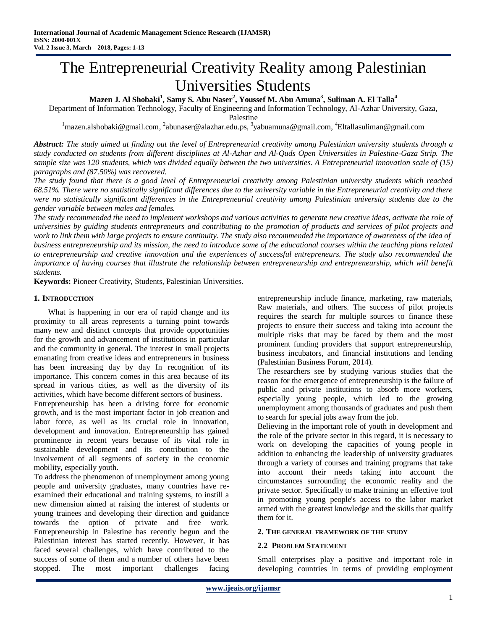# The Entrepreneurial Creativity Reality among Palestinian Universities Students

**Mazen J. Al Shobaki<sup>1</sup> , Samy S. Abu Naser<sup>2</sup> , Youssef M. Abu Amuna<sup>3</sup> , Suliman A. El Talla<sup>4</sup>**

Department of Information Technology, Faculty of Engineering and Information Technology, Al-Azhar University, Gaza,

Palestine

<sup>1</sup>[mazen.alshobaki@gmail.com,](mailto:mazen.alshobaki@gmail.com) <sup>2</sup>[abunaser@alazhar.edu.ps,](mailto:abunaser@alazhar.edu.ps) <sup>3</sup>[yabuamuna@gmail.com,](mailto:yabuamuna@gmail.com) <sup>4</sup>[Eltallasuliman@gmail.com](mailto:4Eltallasuliman@gmail.com)

*Abstract: The study aimed at finding out the level of Entrepreneurial creativity among Palestinian university students through a study conducted on students from different disciplines at Al-Azhar and Al-Quds Open Universities in Palestine-Gaza Strip. The sample size was 120 students, which was divided equally between the two universities. A Entrepreneurial innovation scale of (15) paragraphs and (87.50%) was recovered.*

*The study found that there is a good level of Entrepreneurial creativity among Palestinian university students which reached 68.51%. There were no statistically significant differences due to the university variable in the Entrepreneurial creativity and there were no statistically significant differences in the Entrepreneurial creativity among Palestinian university students due to the gender variable between males and females.*

*The study recommended the need to implement workshops and various activities to generate new creative ideas, activate the role of universities by guiding students entrepreneurs and contributing to the promotion of products and services of pilot projects and work to link them with large projects to ensure continuity. The study also recommended the importance of awareness of the idea of business entrepreneurship and its mission, the need to introduce some of the educational courses within the teaching plans related to entrepreneurship and creative innovation and the experiences of successful entrepreneurs. The study also recommended the importance of having courses that illustrate the relationship between entrepreneurship and entrepreneurship, which will benefit students.*

**Keywords:** Pioneer Creativity, Students, Palestinian Universities.

## **1. INTRODUCTION**

What is happening in our era of rapid change and its proximity to all areas represents a turning point towards many new and distinct concepts that provide opportunities for the growth and advancement of institutions in particular and the community in general. The interest in small projects emanating from creative ideas and entrepreneurs in business has been increasing day by day In recognition of its importance. This concern comes in this area because of its spread in various cities, as well as the diversity of its activities, which have become different sectors of business.

Entrepreneurship has been a driving force for economic growth, and is the most important factor in job creation and labor force, as well as its crucial role in innovation, development and innovation. Entrepreneurship has gained prominence in recent years because of its vital role in sustainable development and its contribution to the involvement of all segments of society in the cconomic mobility, especially youth.

To address the phenomenon of unemployment among young people and university graduates, many countries have reexamined their educational and training systems, to instill a new dimension aimed at raising the interest of students or young trainees and developing their direction and guidance towards the option of private and free work. Entrepreneurship in Palestine has recently begun and the Palestinian interest has started recently. However, it has faced several challenges, which have contributed to the success of some of them and a number of others have been stopped. The most important challenges facing

entrepreneurship include finance, marketing, raw materials, Raw materials, and others. The success of pilot projects requires the search for multiple sources to finance these projects to ensure their success and taking into account the multiple risks that may be faced by them and the most prominent funding providers that support entrepreneurship, business incubators, and financial institutions and lending (Palestinian Business Forum, 2014).

The researchers see by studying various studies that the reason for the emergence of entrepreneurship is the failure of public and private institutions to absorb more workers, especially young people, which led to the growing unemployment among thousands of graduates and push them to search for special jobs away from the job.

Believing in the important role of youth in development and the role of the private sector in this regard, it is necessary to work on developing the capacities of young people in addition to enhancing the leadership of university graduates through a variety of courses and training programs that take into account their needs taking into account the circumstances surrounding the economic reality and the private sector. Specifically to make training an effective tool in promoting young people's access to the labor market armed with the greatest knowledge and the skills that qualify them for it.

#### **2. THE GENERAL FRAMEWORK OF THE STUDY**

## **2.2 PROBLEM STATEMENT**

Small enterprises play a positive and important role in developing countries in terms of providing employment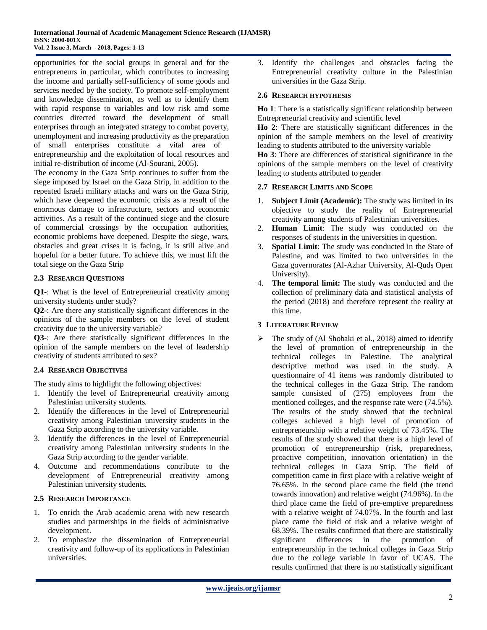opportunities for the social groups in general and for the entrepreneurs in particular, which contributes to increasing the income and partially self-sufficiency of some goods and services needed by the society. To promote self-employment and knowledge dissemination, as well as to identify them with rapid response to variables and low risk amd some countries directed toward the development of small enterprises through an integrated strategy to combat poverty, unemployment and increasing productivity as the preparation of small enterprises constitute a vital area of entrepreneurship and the exploitation of local resources and initial re-distribution of income (Al-Sourani, 2005).

The economy in the Gaza Strip continues to suffer from the siege imposed by Israel on the Gaza Strip, in addition to the repeated Israeli military attacks and wars on the Gaza Strip, which have deepened the economic crisis as a result of the enormous damage to infrastructure, sectors and economic activities. As a result of the continued siege and the closure of commercial crossings by the occupation authorities, economic problems have deepened. Despite the siege, wars, obstacles and great crises it is facing, it is still alive and hopeful for a better future. To achieve this, we must lift the total siege on the Gaza Strip

# **2.3 RESEARCH QUESTIONS**

**Q1-**: What is the level of Entrepreneurial creativity among university students under study?

**Q2-**: Are there any statistically significant differences in the opinions of the sample members on the level of student creativity due to the university variable?

**Q3-**: Are there statistically significant differences in the opinion of the sample members on the level of leadership creativity of students attributed to sex?

# **2.4 RESEARCH OBJECTIVES**

The study aims to highlight the following objectives:

- 1. Identify the level of Entrepreneurial creativity among Palestinian university students.
- 2. Identify the differences in the level of Entrepreneurial creativity among Palestinian university students in the Gaza Strip according to the university variable.
- 3. Identify the differences in the level of Entrepreneurial creativity among Palestinian university students in the Gaza Strip according to the gender variable.
- 4. Outcome and recommendations contribute to the development of Entrepreneurial creativity among Palestinian university students.

## **2.5 RESEARCH IMPORTANCE**

- 1. To enrich the Arab academic arena with new research studies and partnerships in the fields of administrative development.
- 2. To emphasize the dissemination of Entrepreneurial creativity and follow-up of its applications in Palestinian universities.

3. Identify the challenges and obstacles facing the Entrepreneurial creativity culture in the Palestinian universities in the Gaza Strip.

#### **2.6 RESEARCH HYPOTHESIS**

**Ho 1**: There is a statistically significant relationship between Entrepreneurial creativity and scientific level

**Ho 2**: There are statistically significant differences in the opinion of the sample members on the level of creativity leading to students attributed to the university variable

**Ho 3**: There are differences of statistical significance in the opinions of the sample members on the level of creativity leading to students attributed to gender

## **2.7 RESEARCH LIMITS AND SCOPE**

- 1. **Subject Limit (Academic):** The study was limited in its objective to study the reality of Entrepreneurial creativity among students of Palestinian universities.
- 2. **Human Limit**: The study was conducted on the responses of students in the universities in question.
- 3. **Spatial Limit**: The study was conducted in the State of Palestine, and was limited to two universities in the Gaza governorates (Al-Azhar University, Al-Quds Open University).
- 4. **The temporal limit:** The study was conducted and the collection of preliminary data and statistical analysis of the period (2018) and therefore represent the reality at this time.

## **3 LITERATURE REVIEW**

 The study of (Al Shobaki et al., 2018) aimed to identify the level of promotion of entrepreneurship in the technical colleges in Palestine. The analytical descriptive method was used in the study. A questionnaire of 41 items was randomly distributed to the technical colleges in the Gaza Strip. The random sample consisted of (275) employees from the mentioned colleges, and the response rate were (74.5%). The results of the study showed that the technical colleges achieved a high level of promotion of entrepreneurship with a relative weight of 73.45%. The results of the study showed that there is a high level of promotion of entrepreneurship (risk, preparedness, proactive competition, innovation orientation) in the technical colleges in Gaza Strip. The field of competition came in first place with a relative weight of 76.65%. In the second place came the field (the trend towards innovation) and relative weight (74.96%). In the third place came the field of pre-emptive preparedness with a relative weight of 74.07%. In the fourth and last place came the field of risk and a relative weight of 68.39%. The results confirmed that there are statistically significant differences in the promotion of entrepreneurship in the technical colleges in Gaza Strip due to the college variable in favor of UCAS. The results confirmed that there is no statistically significant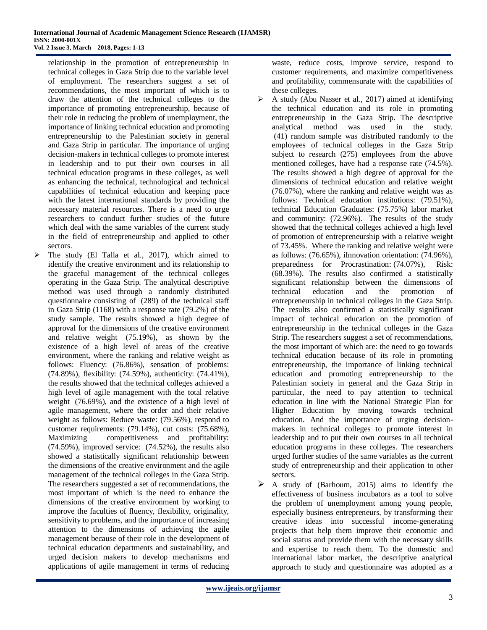relationship in the promotion of entrepreneurship in technical colleges in Gaza Strip due to the variable level of employment. The researchers suggest a set of recommendations, the most important of which is to draw the attention of the technical colleges to the importance of promoting entrepreneurship, because of their role in reducing the problem of unemployment, the importance of linking technical education and promoting entrepreneurship to the Palestinian society in general and Gaza Strip in particular. The importance of urging decision-makers in technical colleges to promote interest in leadership and to put their own courses in all technical education programs in these colleges, as well as enhancing the technical, technological and technical capabilities of technical education and keeping pace with the latest international standards by providing the necessary material resources. There is a need to urge researchers to conduct further studies of the future which deal with the same variables of the current study in the field of entrepreneurship and applied to other sectors.

 $\triangleright$  The study (El Talla et al., 2017), which aimed to identify the creative environment and its relationship to the graceful management of the technical colleges operating in the Gaza Strip. The analytical descriptive method was used through a randomly distributed questionnaire consisting of (289) of the technical staff in Gaza Strip (1168) with a response rate (79.2%) of the study sample. The results showed a high degree of approval for the dimensions of the creative environment and relative weight (75.19%), as shown by the existence of a high level of areas of the creative environment, where the ranking and relative weight as follows: Fluency: (76.86%), sensation of problems: (74.89%), flexibility: (74.59%), authenticity: (74.41%), the results showed that the technical colleges achieved a high level of agile management with the total relative weight (76.69%), and the existence of a high level of agile management, where the order and their relative weight as follows: Reduce waste: (79.56%), respond to customer requirements: (79.14%), cut costs: (75.68%), Maximizing competitiveness and profitability: (74.59%), improved service: (74.52%), the results also showed a statistically significant relationship between the dimensions of the creative environment and the agile management of the technical colleges in the Gaza Strip. The researchers suggested a set of recommendations, the most important of which is the need to enhance the dimensions of the creative environment by working to improve the faculties of fluency, flexibility, originality, sensitivity to problems, and the importance of increasing attention to the dimensions of achieving the agile management because of their role in the development of technical education departments and sustainability, and urged decision makers to develop mechanisms and applications of agile management in terms of reducing

waste, reduce costs, improve service, respond to customer requirements, and maximize competitiveness and profitability, commensurate with the capabilities of these colleges.

- $\triangleright$  A study (Abu Nasser et al., 2017) aimed at identifying the technical education and its role in promoting entrepreneurship in the Gaza Strip. The descriptive analytical method was used in the study. (41) random sample was distributed randomly to the employees of technical colleges in the Gaza Strip subject to research (275) employees from the above mentioned colleges, have had a response rate (74.5%). The results showed a high degree of approval for the dimensions of technical education and relative weight (76.07%), where the ranking and relative weight was as follows: Technical education institutions: (79.51%), technical Education Graduates: (75.75%) labor market and community: (72.96%). The results of the study showed that the technical colleges achieved a high level of promotion of entrepreneurship with a relative weight of 73.45%. Where the ranking and relative weight were as follows: (76.65%), iInnovation orientation: (74.96%), preparedness for Procrastination: (74.07%), Risk: (68.39%). The results also confirmed a statistically significant relationship between the dimensions of technical education and the promotion of entrepreneurship in technical colleges in the Gaza Strip. The results also confirmed a statistically significant impact of technical education on the promotion of entrepreneurship in the technical colleges in the Gaza Strip. The researchers suggest a set of recommendations, the most important of which are: the need to go towards technical education because of its role in promoting entrepreneurship, the importance of linking technical education and promoting entrepreneurship to the Palestinian society in general and the Gaza Strip in particular, the need to pay attention to technical education in line with the National Strategic Plan for Higher Education by moving towards technical education. And the importance of urging decisionmakers in technical colleges to promote interest in leadership and to put their own courses in all technical education programs in these colleges. The researchers urged further studies of the same variables as the current study of entrepreneurship and their application to other sectors.
- $\triangleright$  A study of (Barhoum, 2015) aims to identify the effectiveness of business incubators as a tool to solve the problem of unemployment among young people, especially business entrepreneurs, by transforming their creative ideas into successful income-generating projects that help them improve their economic and social status and provide them with the necessary skills and expertise to reach them. To the domestic and international labor market, the descriptive analytical approach to study and questionnaire was adopted as a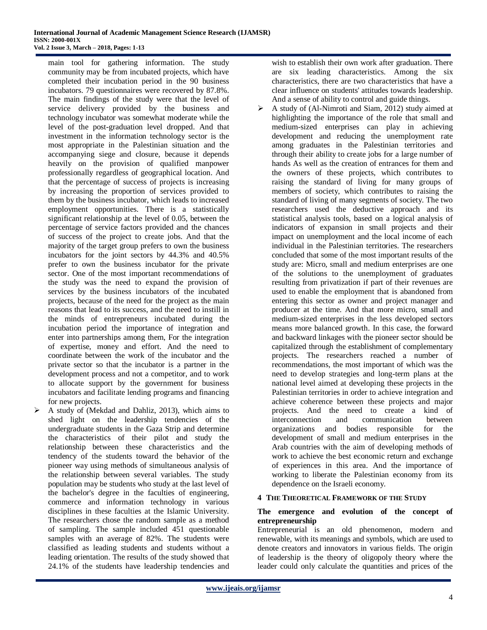main tool for gathering information. The study community may be from incubated projects, which have completed their incubation period in the 90 business incubators. 79 questionnaires were recovered by 87.8%. The main findings of the study were that the level of service delivery provided by the business and technology incubator was somewhat moderate while the level of the post-graduation level dropped. And that investment in the information technology sector is the most appropriate in the Palestinian situation and the accompanying siege and closure, because it depends heavily on the provision of qualified manpower professionally regardless of geographical location. And that the percentage of success of projects is increasing by increasing the proportion of services provided to them by the business incubator, which leads to increased employment opportunities. There is a statistically significant relationship at the level of 0.05, between the percentage of service factors provided and the chances of success of the project to create jobs. And that the majority of the target group prefers to own the business incubators for the joint sectors by 44.3% and 40.5% prefer to own the business incubator for the private sector. One of the most important recommendations of the study was the need to expand the provision of services by the business incubators of the incubated projects, because of the need for the project as the main reasons that lead to its success, and the need to instill in the minds of entrepreneurs incubated during the incubation period the importance of integration and enter into partnerships among them, For the integration of expertise, money and effort. And the need to coordinate between the work of the incubator and the private sector so that the incubator is a partner in the development process and not a competitor, and to work to allocate support by the government for business incubators and facilitate lending programs and financing for new projects.

 $\triangleright$  A study of (Mekdad and Dahliz, 2013), which aims to shed light on the leadership tendencies of the undergraduate students in the Gaza Strip and determine the characteristics of their pilot and study the relationship between these characteristics and the tendency of the students toward the behavior of the pioneer way using methods of simultaneous analysis of the relationship between several variables. The study population may be students who study at the last level of the bachelor's degree in the faculties of engineering, commerce and information technology in various disciplines in these faculties at the Islamic University. The researchers chose the random sample as a method of sampling. The sample included 451 questionable samples with an average of 82%. The students were classified as leading students and students without a leading orientation. The results of the study showed that 24.1% of the students have leadership tendencies and

wish to establish their own work after graduation. There are six leading characteristics. Among the six characteristics, there are two characteristics that have a clear influence on students' attitudes towards leadership. And a sense of ability to control and guide things.

 $\triangleright$  A study of (Al-Nimroti and Siam, 2012) study aimed at highlighting the importance of the role that small and medium-sized enterprises can play in achieving development and reducing the unemployment rate among graduates in the Palestinian territories and through their ability to create jobs for a large number of hands As well as the creation of entrances for them and the owners of these projects, which contributes to raising the standard of living for many groups of members of society, which contributes to raising the standard of living of many segments of society. The two researchers used the deductive approach and its statistical analysis tools, based on a logical analysis of indicators of expansion in small projects and their impact on unemployment and the local income of each individual in the Palestinian territories. The researchers concluded that some of the most important results of the study are: Micro, small and medium enterprises are one of the solutions to the unemployment of graduates resulting from privatization if part of their revenues are used to enable the employment that is abandoned from entering this sector as owner and project manager and producer at the time. And that more micro, small and medium-sized enterprises in the less developed sectors means more balanced growth. In this case, the forward and backward linkages with the pioneer sector should be capitalized through the establishment of complementary projects. The researchers reached a number of recommendations, the most important of which was the need to develop strategies and long-term plans at the national level aimed at developing these projects in the Palestinian territories in order to achieve integration and achieve coherence between these projects and major projects. And the need to create a kind of interconnection and communication between organizations and bodies responsible for the development of small and medium enterprises in the Arab countries with the aim of developing methods of work to achieve the best economic return and exchange of experiences in this area. And the importance of working to liberate the Palestinian economy from its dependence on the Israeli economy.

## **4 THE THEORETICAL FRAMEWORK OF THE STUDY**

## **The emergence and evolution of the concept of entrepreneurship**

Entrepreneurial is an old phenomenon, modern and renewable, with its meanings and symbols, which are used to denote creators and innovators in various fields. The origin of leadership is the theory of oligopoly theory where the leader could only calculate the quantities and prices of the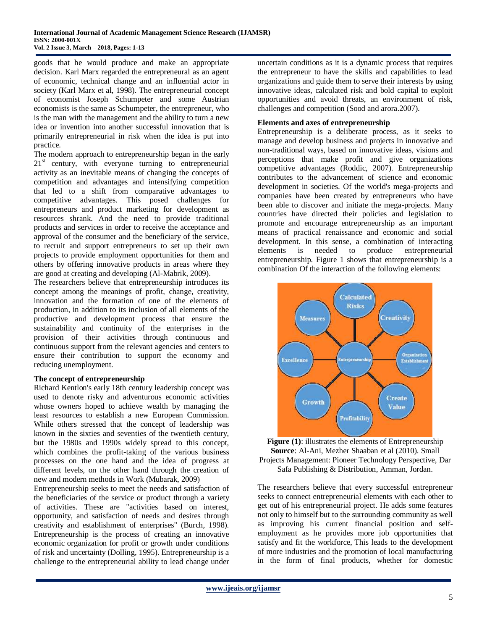goods that he would produce and make an appropriate decision. Karl Marx regarded the entrepreneural as an agent of economic, technical change and an influential actor in society (Karl Marx et al, 1998). The entrepreneurial concept of economist Joseph Schumpeter and some Austrian economists is the same as Schumpeter, the entrepreneur, who is the man with the management and the ability to turn a new idea or invention into another successful innovation that is primarily entrepreneurial in risk when the idea is put into practice.

The modern approach to entrepreneurship began in the early  $21<sup>st</sup>$  century, with everyone turning to entrepreneurial activity as an inevitable means of changing the concepts of competition and advantages and intensifying competition that led to a shift from comparative advantages to competitive advantages. This posed challenges for entrepreneurs and product marketing for development as resources shrank. And the need to provide traditional products and services in order to receive the acceptance and approval of the consumer and the beneficiary of the service, to recruit and support entrepreneurs to set up their own projects to provide employment opportunities for them and others by offering innovative products in areas where they are good at creating and developing (Al-Mabrik, 2009).

The researchers believe that entrepreneurship introduces its concept among the meanings of profit, change, creativity, innovation and the formation of one of the elements of production, in addition to its inclusion of all elements of the productive and development process that ensure the sustainability and continuity of the enterprises in the provision of their activities through continuous and continuous support from the relevant agencies and centers to ensure their contribution to support the economy and reducing unemployment.

## **The concept of entrepreneurship**

Richard Kentlon's early 18th century leadership concept was used to denote risky and adventurous economic activities whose owners hoped to achieve wealth by managing the least resources to establish a new European Commission. While others stressed that the concept of leadership was known in the sixties and seventies of the twentieth century, but the 1980s and 1990s widely spread to this concept, which combines the profit-taking of the various business processes on the one hand and the idea of progress at different levels, on the other hand through the creation of new and modern methods in Work (Mubarak, 2009)

Entrepreneurship seeks to meet the needs and satisfaction of the beneficiaries of the service or product through a variety of activities. These are "activities based on interest, opportunity, and satisfaction of needs and desires through creativity and establishment of enterprises" (Burch, 1998). Entrepreneurship is the process of creating an innovative economic organization for profit or growth under conditions of risk and uncertainty (Dolling, 1995). Entrepreneurship is a challenge to the entrepreneurial ability to lead change under

uncertain conditions as it is a dynamic process that requires the entrepreneur to have the skills and capabilities to lead organizations and guide them to serve their interests by using innovative ideas, calculated risk and bold capital to exploit opportunities and avoid threats, an environment of risk, challenges and competition (Sood and arora.2007).

## **Elements and axes of entrepreneurship**

Entrepreneurship is a deliberate process, as it seeks to manage and develop business and projects in innovative and non-traditional ways, based on innovative ideas, visions and perceptions that make profit and give organizations competitive advantages (Roddic, 2007). Entrepreneurship contributes to the advancement of science and economic development in societies. Of the world's mega-projects and companies have been created by entrepreneurs who have been able to discover and initiate the mega-projects. Many countries have directed their policies and legislation to promote and encourage entrepreneurship as an important means of practical renaissance and economic and social development. In this sense, a combination of interacting elements is needed to produce entrepreneurial entrepreneurship. Figure 1 shows that entrepreneurship is a combination Of the interaction of the following elements:



Figure (1): illustrates the elements of Entrepreneurship **Source**: Al-Ani, Mezher Shaaban et al (2010). Small Projects Management: Pioneer Technology Perspective, Dar Safa Publishing & Distribution, Amman, Jordan.

The researchers believe that every successful entrepreneur seeks to connect entrepreneurial elements with each other to get out of his entrepreneurial project. He adds some features not only to himself but to the surrounding community as well as improving his current financial position and selfemployment as he provides more job opportunities that satisfy and fit the workforce, This leads to the development of more industries and the promotion of local manufacturing in the form of final products, whether for domestic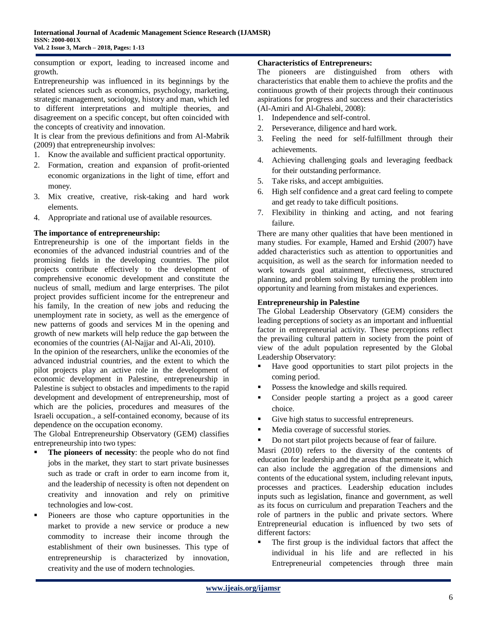consumption or export, leading to increased income and growth.

Entrepreneurship was influenced in its beginnings by the related sciences such as economics, psychology, marketing, strategic management, sociology, history and man, which led to different interpretations and multiple theories, and disagreement on a specific concept, but often coincided with the concepts of creativity and innovation.

It is clear from the previous definitions and from Al-Mabrik (2009) that entrepreneurship involves:

- 1. Know the available and sufficient practical opportunity.
- 2. Formation, creation and expansion of profit-oriented economic organizations in the light of time, effort and money.
- 3. Mix creative, creative, risk-taking and hard work elements.
- 4. Appropriate and rational use of available resources.

## **The importance of entrepreneurship:**

Entrepreneurship is one of the important fields in the economies of the advanced industrial countries and of the promising fields in the developing countries. The pilot projects contribute effectively to the development of comprehensive economic development and constitute the nucleus of small, medium and large enterprises. The pilot project provides sufficient income for the entrepreneur and his family, In the creation of new jobs and reducing the unemployment rate in society, as well as the emergence of new patterns of goods and services M in the opening and growth of new markets will help reduce the gap between the economies of the countries (Al-Najjar and Al-Ali, 2010).

In the opinion of the researchers, unlike the economies of the advanced industrial countries, and the extent to which the pilot projects play an active role in the development of economic development in Palestine, entrepreneurship in Palestine is subject to obstacles and impediments to the rapid development and development of entrepreneurship, most of which are the policies, procedures and measures of the Israeli occupation., a self-contained economy, because of its dependence on the occupation economy.

The Global Entrepreneurship Observatory (GEM) classifies entrepreneurship into two types:

- **The pioneers of necessity**: the people who do not find jobs in the market, they start to start private businesses such as trade or craft in order to earn income from it, and the leadership of necessity is often not dependent on creativity and innovation and rely on primitive technologies and low-cost.
- Pioneers are those who capture opportunities in the market to provide a new service or produce a new commodity to increase their income through the establishment of their own businesses. This type of entrepreneurship is characterized by innovation, creativity and the use of modern technologies.

## **Characteristics of Entrepreneurs:**

The pioneers are distinguished from others with characteristics that enable them to achieve the profits and the continuous growth of their projects through their continuous aspirations for progress and success and their characteristics (Al-Amiri and Al-Ghalebi, 2008):

- 1. Independence and self-control.
- 2. Perseverance, diligence and hard work.
- 3. Feeling the need for self-fulfillment through their achievements.
- 4. Achieving challenging goals and leveraging feedback for their outstanding performance.
- 5. Take risks, and accept ambiguities.
- 6. High self confidence and a great card feeling to compete and get ready to take difficult positions.
- 7. Flexibility in thinking and acting, and not fearing failure.

There are many other qualities that have been mentioned in many studies. For example, Hamed and Ershid (2007) have added characteristics such as attention to opportunities and acquisition, as well as the search for information needed to work towards goal attainment, effectiveness, structured planning, and problem solving By turning the problem into opportunity and learning from mistakes and experiences.

### **Entrepreneurship in Palestine**

The Global Leadership Observatory (GEM) considers the leading perceptions of society as an important and influential factor in entrepreneurial activity. These perceptions reflect the prevailing cultural pattern in society from the point of view of the adult population represented by the Global Leadership Observatory:

- Have good opportunities to start pilot projects in the coming period.
- Possess the knowledge and skills required.
- Consider people starting a project as a good career choice.
- Give high status to successful entrepreneurs.
- Media coverage of successful stories.
- Do not start pilot projects because of fear of failure.

Masri (2010) refers to the diversity of the contents of education for leadership and the areas that permeate it, which can also include the aggregation of the dimensions and contents of the educational system, including relevant inputs, processes and practices. Leadership education includes inputs such as legislation, finance and government, as well as its focus on curriculum and preparation Teachers and the role of partners in the public and private sectors. Where Entrepreneurial education is influenced by two sets of different factors:

 The first group is the individual factors that affect the individual in his life and are reflected in his Entrepreneurial competencies through three main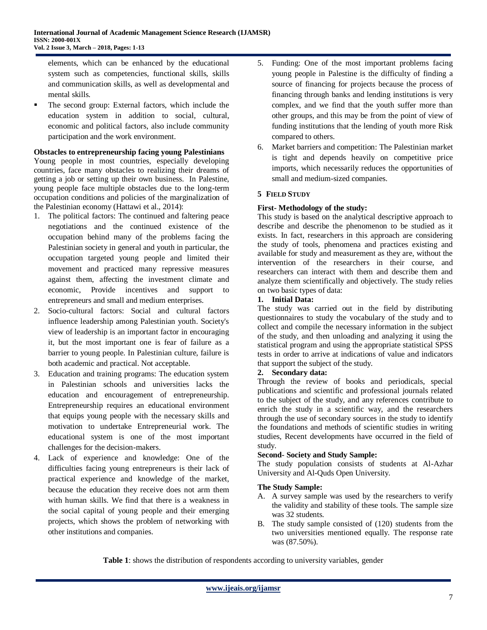elements, which can be enhanced by the educational system such as competencies, functional skills, skills and communication skills, as well as developmental and mental skills.

 The second group: External factors, which include the education system in addition to social, cultural, economic and political factors, also include community participation and the work environment.

## **Obstacles to entrepreneurship facing young Palestinians**

Young people in most countries, especially developing countries, face many obstacles to realizing their dreams of getting a job or setting up their own business. In Palestine, young people face multiple obstacles due to the long-term occupation conditions and policies of the marginalization of the Palestinian economy (Hattawi et al., 2014):

- 1. The political factors: The continued and faltering peace negotiations and the continued existence of the occupation behind many of the problems facing the Palestinian society in general and youth in particular, the occupation targeted young people and limited their movement and practiced many repressive measures against them, affecting the investment climate and economic, Provide incentives and support to entrepreneurs and small and medium enterprises.
- 2. Socio-cultural factors: Social and cultural factors influence leadership among Palestinian youth. Society's view of leadership is an important factor in encouraging it, but the most important one is fear of failure as a barrier to young people. In Palestinian culture, failure is both academic and practical. Not acceptable.
- 3. Education and training programs: The education system in Palestinian schools and universities lacks the education and encouragement of entrepreneurship. Entrepreneurship requires an educational environment that equips young people with the necessary skills and motivation to undertake Entrepreneurial work. The educational system is one of the most important challenges for the decision-makers.
- 4. Lack of experience and knowledge: One of the difficulties facing young entrepreneurs is their lack of practical experience and knowledge of the market, because the education they receive does not arm them with human skills. We find that there is a weakness in the social capital of young people and their emerging projects, which shows the problem of networking with other institutions and companies.
- 5. Funding: One of the most important problems facing young people in Palestine is the difficulty of finding a source of financing for projects because the process of financing through banks and lending institutions is very complex, and we find that the youth suffer more than other groups, and this may be from the point of view of funding institutions that the lending of youth more Risk compared to others.
- 6. Market barriers and competition: The Palestinian market is tight and depends heavily on competitive price imports, which necessarily reduces the opportunities of small and medium-sized companies.

# **5 FIELD STUDY**

# **First- Methodology of the study:**

This study is based on the analytical descriptive approach to describe and describe the phenomenon to be studied as it exists. In fact, researchers in this approach are considering the study of tools, phenomena and practices existing and available for study and measurement as they are, without the intervention of the researchers in their course, and researchers can interact with them and describe them and analyze them scientifically and objectively. The study relies on two basic types of data:

## **1. Initial Data:**

The study was carried out in the field by distributing questionnaires to study the vocabulary of the study and to collect and compile the necessary information in the subject of the study, and then unloading and analyzing it using the statistical program and using the appropriate statistical SPSS tests in order to arrive at indications of value and indicators that support the subject of the study.

# **2. Secondary data:**

Through the review of books and periodicals, special publications and scientific and professional journals related to the subject of the study, and any references contribute to enrich the study in a scientific way, and the researchers through the use of secondary sources in the study to identify the foundations and methods of scientific studies in writing studies, Recent developments have occurred in the field of study.

## **Second- Society and Study Sample:**

The study population consists of students at Al-Azhar University and Al-Quds Open University.

# **The Study Sample:**

- A. A survey sample was used by the researchers to verify the validity and stability of these tools. The sample size was 32 students.
- B. The study sample consisted of (120) students from the two universities mentioned equally. The response rate was (87.50%).

**Table 1**: shows the distribution of respondents according to university variables, gender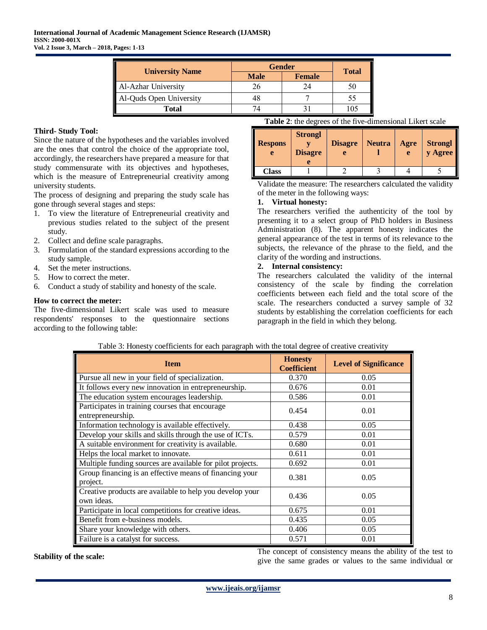| <b>University Name</b>  | <b>Gender</b> | <b>Total</b>  |    |
|-------------------------|---------------|---------------|----|
|                         | <b>Male</b>   | <b>Female</b> |    |
| Al-Azhar University     |               | 24            | 50 |
| Al-Quds Open University |               |               | 55 |
| <b>Total</b>            |               |               |    |

## **Third- Study Tool:**

Since the nature of the hypotheses and the variables involved are the ones that control the choice of the appropriate tool, accordingly, the researchers have prepared a measure for that study commensurate with its objectives and hypotheses, which is the measure of Entrepreneurial creativity among university students.

The process of designing and preparing the study scale has gone through several stages and steps:

- 1. To view the literature of Entrepreneurial creativity and previous studies related to the subject of the present study.
- 2. Collect and define scale paragraphs.
- 3. Formulation of the standard expressions according to the study sample.
- 4. Set the meter instructions.
- 5. How to correct the meter.
- 6. Conduct a study of stability and honesty of the scale.

#### **How to correct the meter:**

The five-dimensional Likert scale was used to measure respondents' responses to the questionnaire sections according to the following table:

| Table 2: the degrees of the five-dimensional Likert scale |
|-----------------------------------------------------------|
|-----------------------------------------------------------|

| <b>Respons</b><br>e | <b>Strongl</b><br><b>Disagre</b> | <b>Disagre</b> | <b>Neutra</b> | Agre<br>e | Strongl<br>y Agree |
|---------------------|----------------------------------|----------------|---------------|-----------|--------------------|
| Class               |                                  |                |               |           |                    |

Validate the measure: The researchers calculated the validity of the meter in the following ways:

## **1. Virtual honesty:**

The researchers verified the authenticity of the tool by presenting it to a select group of PhD holders in Business Administration (8). The apparent honesty indicates the general appearance of the test in terms of its relevance to the subjects, the relevance of the phrase to the field, and the clarity of the wording and instructions.

#### **2. Internal consistency:**

The researchers calculated the validity of the internal consistency of the scale by finding the correlation coefficients between each field and the total score of the scale. The researchers conducted a survey sample of 32 students by establishing the correlation coefficients for each paragraph in the field in which they belong.

| <b>Item</b>                                                            | <b>Honesty</b><br><b>Coefficient</b> | <b>Level of Significance</b> |
|------------------------------------------------------------------------|--------------------------------------|------------------------------|
| Pursue all new in your field of specialization.                        | 0.370                                | 0.05                         |
| It follows every new innovation in entrepreneurship.                   | 0.676                                | 0.01                         |
| The education system encourages leadership.                            | 0.586                                | 0.01                         |
| Participates in training courses that encourage<br>entrepreneurship.   | 0.454                                | 0.01                         |
| Information technology is available effectively.                       | 0.438                                | 0.05                         |
| Develop your skills and skills through the use of ICTs.                | 0.579                                | 0.01                         |
| A suitable environment for creativity is available.                    | 0.680                                | 0.01                         |
| Helps the local market to innovate.                                    | 0.611                                | 0.01                         |
| Multiple funding sources are available for pilot projects.             | 0.692                                | 0.01                         |
| Group financing is an effective means of financing your<br>project.    | 0.381                                | 0.05                         |
| Creative products are available to help you develop your<br>own ideas. | 0.436                                | 0.05                         |
| Participate in local competitions for creative ideas.                  | 0.675                                | 0.01                         |
| Benefit from e-business models.                                        | 0.435                                | 0.05                         |
| Share your knowledge with others.                                      | 0.406                                | 0.05                         |
| Failure is a catalyst for success.                                     | 0.571                                | 0.01                         |

Table 3: Honesty coefficients for each paragraph with the total degree of creative creativity

**Stability of the scale:** The concept of consistency means the ability of the test to stability of the test to simple ability of the test to simple ability of the test to give the same grades or values to the same individual or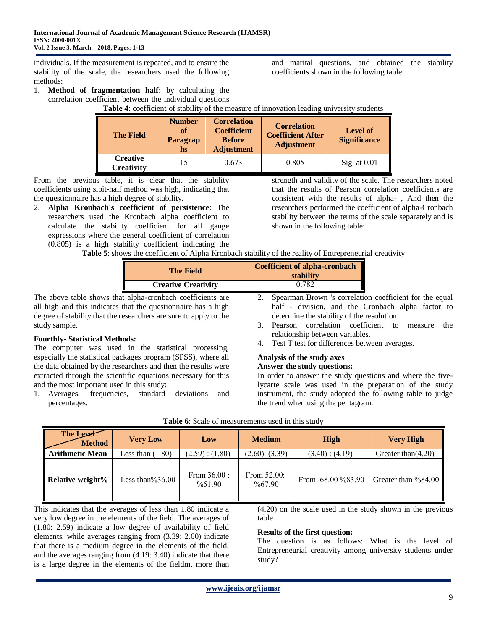individuals. If the measurement is repeated, and to ensure the stability of the scale, the researchers used the following methods:

1. **Method of fragmentation half**: by calculating the correlation coefficient between the individual questions

**Table 4**: coefficient of stability of the measure of innovation leading university students

| <b>The Field</b>                     | <b>Number</b><br><sub>of</sub><br>Paragrap<br>hs | <b>Correlation</b><br><b>Coefficient</b><br><b>Before</b><br><b>Adjustment</b> | <b>Correlation</b><br><b>Coefficient After</b><br><b>Adjustment</b> | Level of<br><b>Significance</b> |
|--------------------------------------|--------------------------------------------------|--------------------------------------------------------------------------------|---------------------------------------------------------------------|---------------------------------|
| <b>Creative</b><br><b>Creativity</b> | 15                                               | 0.673                                                                          | 0.805                                                               | Sig. at $0.01$                  |

From the previous table, it is clear that the stability coefficients using slpit-half method was high, indicating that the questionnaire has a high degree of stability.

2. **Alpha Kronbach's coefficient of persistence**: The researchers used the Kronbach alpha coefficient to calculate the stability coefficient for all gauge expressions where the general coefficient of correlation (0.805) is a high stability coefficient indicating the strength and validity of the scale. The researchers noted that the results of Pearson correlation coefficients are consistent with the results of alpha- , And then the researchers performed the coefficient of alpha-Cronbach stability between the terms of the scale separately and is shown in the following table:

and marital questions, and obtained the stability

coefficients shown in the following table.

**Table 5**: shows the coefficient of Alpha Kronbach stability of the reality of Entrepreneurial creativity

| <b>The Field</b>           | <b>Coefficient of alpha-cronbach</b><br>stability |
|----------------------------|---------------------------------------------------|
| <b>Creative Creativity</b> | 0.782                                             |

The above table shows that alpha-cronbach coefficients are all high and this indicates that the questionnaire has a high degree of stability that the researchers are sure to apply to the study sample.

# **Fourthly- Statistical Methods:**

The computer was used in the statistical processing, especially the statistical packages program (SPSS), where all the data obtained by the researchers and then the results were extracted through the scientific equations necessary for this and the most important used in this study:

1. Averages, frequencies, standard deviations and percentages.

- 2. Spearman Brown 's correlation coefficient for the equal half - division, and the Cronbach alpha factor to determine the stability of the resolution.
- 3. Pearson correlation coefficient to measure the relationship between variables.
- 4. Test T test for differences between averages.

## **Analysis of the study axes**

## **Answer the study questions:**

In order to answer the study questions and where the fivelycarte scale was used in the preparation of the study instrument, the study adopted the following table to judge the trend when using the pentagram.

| The Lever<br><b>Method</b> | <b>Very Low</b>     | Low                                                       | <b>Medium</b>                        | High                  | <b>Very High</b>    |
|----------------------------|---------------------|-----------------------------------------------------------|--------------------------------------|-----------------------|---------------------|
| <b>Arithmetic Mean</b>     | Less than $(1.80)$  | $(2.60)$ : $(3.39)$<br>(2.59) : (1.80)<br>(3.40) : (4.19) |                                      | Greater than $(4.20)$ |                     |
| <b>Relative weight%</b>    | Less than $\%36.00$ | From $36.00$ :<br>$\frac{9}{6}$ 51.90                     | From $52.00$ :<br>$\frac{9}{6}67.90$ | From: 68.00 %83.90    | Greater than %84.00 |

|  |  | Table 6: Scale of measurements used in this study |  |  |  |
|--|--|---------------------------------------------------|--|--|--|
|--|--|---------------------------------------------------|--|--|--|

This indicates that the averages of less than 1.80 indicate a very low degree in the elements of the field. The averages of (1.80: 2.59) indicate a low degree of availability of field elements, while averages ranging from (3.39: 2.60) indicate that there is a medium degree in the elements of the field, and the averages ranging from (4.19: 3.40) indicate that there is a large degree in the elements of the fieldm, more than

(4.20) on the scale used in the study shown in the previous table.

## **Results of the first question:**

The question is as follows: What is the level of Entrepreneurial creativity among university students under study?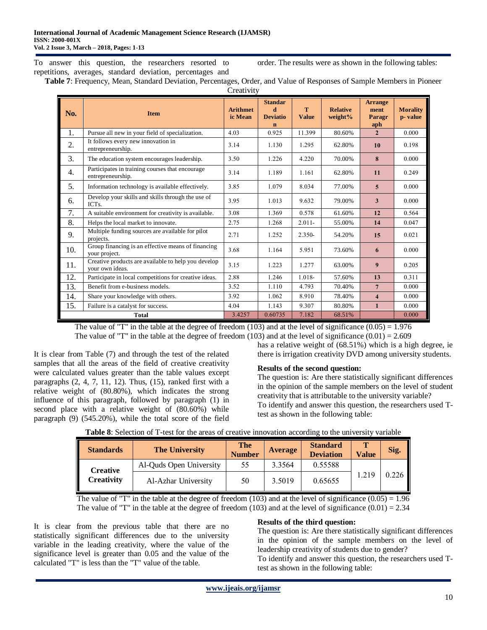To answer this question, the researchers resorted to repetitions, averages, standard deviation, percentages and order. The results were as shown in the following tables:

**Table 7**: Frequency, Mean, Standard Deviation, Percentages, Order, and Value of Responses of Sample Members in Pioneer **Creativity** 

| No.              | <b>Item</b>                                                             | <b>Arithmet</b><br>ic Mean | <b>Standar</b><br>d<br><b>Deviatio</b><br>n | T<br><b>Value</b> | <b>Relative</b><br>weight% | <b>Arrange</b><br>ment<br>Paragr<br>aph | <b>Morality</b><br>p-value |
|------------------|-------------------------------------------------------------------------|----------------------------|---------------------------------------------|-------------------|----------------------------|-----------------------------------------|----------------------------|
| 1.               | Pursue all new in your field of specialization.                         | 4.03                       | 0.925                                       | 11.399            | 80.60%                     | $\overline{2}$                          | 0.000                      |
| 2.               | It follows every new innovation in<br>entrepreneurship.                 | 3.14                       | 1.130                                       | 1.295             | 62.80%                     | 10                                      | 0.198                      |
| 3.               | The education system encourages leadership.                             | 3.50                       | 1.226                                       | 4.220             | 70.00%                     | 8                                       | 0.000                      |
| $\overline{4}$ . | Participates in training courses that encourage<br>entrepreneurship.    | 3.14                       | 1.189                                       | 1.161             | 62.80%                     | 11                                      | 0.249                      |
| 5.               | Information technology is available effectively.                        | 3.85                       | 1.079                                       | 8.034             | 77.00%                     | $\overline{5}$                          | 0.000                      |
| 6.               | Develop your skills and skills through the use of<br>ICT <sub>s</sub> . | 3.95                       | 1.013                                       | 9.632             | 79.00%                     | 3                                       | 0.000                      |
| 7.               | A suitable environment for creativity is available.                     | 3.08                       | 1.369                                       | 0.578             | 61.60%                     | 12                                      | 0.564                      |
| 8.               | Helps the local market to innovate.                                     | 2.75                       | 1.268                                       | $2.011 -$         | 55.00%                     | 14                                      | 0.047                      |
| 9.               | Multiple funding sources are available for pilot<br>projects.           | 2.71                       | 1.252                                       | $2.350-$          | 54.20%                     | 15                                      | 0.021                      |
| 10.              | Group financing is an effective means of financing<br>your project.     | 3.68                       | 1.164                                       | 5.951             | 73.60%                     | 6                                       | 0.000                      |
| 11.              | Creative products are available to help you develop<br>your own ideas.  | 3.15                       | 1.223                                       | 1.277             | 63.00%                     | 9                                       | 0.205                      |
| 12.              | Participate in local competitions for creative ideas.                   | 2.88                       | 1.246                                       | 1.018-            | 57.60%                     | 13                                      | 0.311                      |
| 13.              | Benefit from e-business models.                                         | 3.52                       | 1.110                                       | 4.793             | 70.40%                     | $\overline{7}$                          | 0.000                      |
| 14.              | Share your knowledge with others.                                       | 3.92                       | 1.062                                       | 8.910             | 78.40%                     | $\overline{\mathbf{4}}$                 | 0.000                      |
| 15.              | Failure is a catalyst for success.                                      | 4.04                       | 1.143                                       | 9.307             | 80.80%                     | $\mathbf{1}$                            | 0.000                      |
|                  | <b>Total</b>                                                            | 3.4257                     | 0.60735                                     | 7.182             | 68.51%                     |                                         | 0.000                      |

The value of "T" in the table at the degree of freedom  $(103)$  and at the level of significance  $(0.05) = 1.976$ 

The value of "T" in the table at the degree of freedom  $(103)$  and at the level of significance  $(0.01) = 2.609$ 

It is clear from Table (7) and through the test of the related samples that all the areas of the field of creative creativity were calculated values greater than the table values except paragraphs  $(2, 4, 7, 11, 12)$ . Thus,  $(15)$ , ranked first with a relative weight of (80.80%), which indicates the strong influence of this paragraph, followed by paragraph (1) in second place with a relative weight of (80.60%) while paragraph (9) (545.20%), while the total score of the field

has a relative weight of (68.51%) which is a high degree, ie there is irrigation creativity DVD among university students.

## **Results of the second question:**

The question is: Are there statistically significant differences in the opinion of the sample members on the level of student creativity that is attributable to the university variable? To identify and answer this question, the researchers used Ttest as shown in the following table:

| <b>Standards</b>       | <b>The University</b>   |    | <b>Average</b> | <b>Standard</b><br><b>Deviation</b> | <b>Value</b> | Sig.  |
|------------------------|-------------------------|----|----------------|-------------------------------------|--------------|-------|
| Creative<br>Creativity | Al-Quds Open University | 55 | 3.3564         | 0.55588                             |              |       |
|                        | Al-Azhar University     | 50 | 3.5019         | 0.65655                             | 1.219        | 0.226 |

The value of "T" in the table at the degree of freedom (103) and at the level of significance  $(0.05) = 1.96$ The value of "T" in the table at the degree of freedom (103) and at the level of significance  $(0.01) = 2.34$ 

It is clear from the previous table that there are no statistically significant differences due to the university variable in the leading creativity, where the value of the significance level is greater than 0.05 and the value of the calculated "T" is less than the "T" value of the table.

## **Results of the third question:**

The question is: Are there statistically significant differences in the opinion of the sample members on the level of leadership creativity of students due to gender?

To identify and answer this question, the researchers used Ttest as shown in the following table: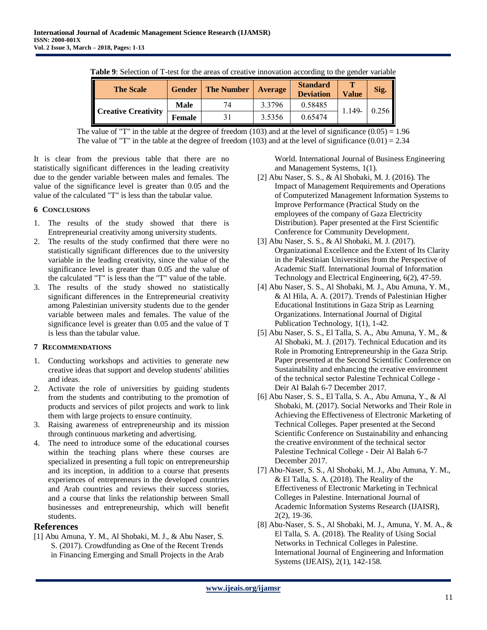| <b>Table 9.</b> Selection of T-test for the areas of creative inhovation according to the genuer variable |               |                   |         |                                     |              |       |
|-----------------------------------------------------------------------------------------------------------|---------------|-------------------|---------|-------------------------------------|--------------|-------|
| <b>The Scale</b>                                                                                          | <b>Gender</b> | <b>The Number</b> | Average | <b>Standard</b><br><b>Deviation</b> | <b>Value</b> | Sig.  |
| <b>Creative Creativity</b>                                                                                | Male          | 74                | 3.3796  | 0.58485                             | 1.149-       | 0.256 |
|                                                                                                           | <b>Female</b> |                   | 3.5356  | 0.65474                             |              |       |

**Table 9**: Selection of T-test for the areas of creative innovation according to the gender variable

The value of "T" in the table at the degree of freedom (103) and at the level of significance  $(0.05) = 1.96$ The value of "T" in the table at the degree of freedom (103) and at the level of significance  $(0.01) = 2.34$ 

It is clear from the previous table that there are no statistically significant differences in the leading creativity due to the gender variable between males and females. The value of the significance level is greater than 0.05 and the value of the calculated "T" is less than the tabular value.

## **6 CONCLUSIONS**

- 1. The results of the study showed that there is Entrepreneurial creativity among university students.
- 2. The results of the study confirmed that there were no statistically significant differences due to the university variable in the leading creativity, since the value of the significance level is greater than 0.05 and the value of the calculated "T" is less than the "T" value of the table.
- 3. The results of the study showed no statistically significant differences in the Entrepreneurial creativity among Palestinian university students due to the gender variable between males and females. The value of the significance level is greater than 0.05 and the value of T is less than the tabular value.

# **7 RECOMMENDATIONS**

- 1. Conducting workshops and activities to generate new creative ideas that support and develop students' abilities and ideas.
- 2. Activate the role of universities by guiding students from the students and contributing to the promotion of products and services of pilot projects and work to link them with large projects to ensure continuity.
- 3. Raising awareness of entrepreneurship and its mission through continuous marketing and advertising.
- 4. The need to introduce some of the educational courses within the teaching plans where these courses are specialized in presenting a full topic on entrepreneurship and its inception, in addition to a course that presents experiences of entrepreneurs in the developed countries and Arab countries and reviews their success stories, and a course that links the relationship between Small businesses and entrepreneurship, which will benefit students.

# **References**

[1] Abu Amuna, Y. M., Al Shobaki, M. J., & Abu Naser, S. S. (2017). Crowdfunding as One of the Recent Trends in Financing Emerging and Small Projects in the Arab

World. International Journal of Business Engineering and Management Systems, 1(1).

- [2] Abu Naser, S. S., & Al Shobaki, M. J. (2016). The Impact of Management Requirements and Operations of Computerized Management Information Systems to Improve Performance (Practical Study on the employees of the company of Gaza Electricity Distribution). Paper presented at the First Scientific Conference for Community Development.
- [3] Abu Naser, S. S., & Al Shobaki, M. J. (2017). Organizational Excellence and the Extent of Its Clarity in the Palestinian Universities from the Perspective of Academic Staff. International Journal of Information Technology and Electrical Engineering, 6(2), 47-59.
- [4] Abu Naser, S. S., Al Shobaki, M. J., Abu Amuna, Y. M., & Al Hila, A. A. (2017). Trends of Palestinian Higher Educational Institutions in Gaza Strip as Learning Organizations. International Journal of Digital Publication Technology, 1(1), 1-42.
- [5] Abu Naser, S. S., El Talla, S. A., Abu Amuna, Y. M., & Al Shobaki, M. J. (2017). Technical Education and its Role in Promoting Entrepreneurship in the Gaza Strip. Paper presented at the Second Scientific Conference on Sustainability and enhancing the creative environment of the technical sector Palestine Technical College - Deir Al Balah 6-7 December 2017.
- [6] Abu Naser, S. S., El Talla, S. A., Abu Amuna, Y., & Al Shobaki, M. (2017). Social Networks and Their Role in Achieving the Effectiveness of Electronic Marketing of Technical Colleges. Paper presented at the Second Scientific Conference on Sustainability and enhancing the creative environment of the technical sector Palestine Technical College - Deir Al Balah 6-7 December 2017.
- [7] Abu-Naser, S. S., Al Shobaki, M. J., Abu Amuna, Y. M., & El Talla, S. A. (2018). The Reality of the Effectiveness of Electronic Marketing in Technical Colleges in Palestine. International Journal of Academic Information Systems Research (IJAISR), 2(2), 19-36.
- [8] Abu-Naser, S. S., Al Shobaki, M. J., Amuna, Y. M. A., & El Talla, S. A. (2018). The Reality of Using Social Networks in Technical Colleges in Palestine. International Journal of Engineering and Information Systems (IJEAIS), 2(1), 142-158.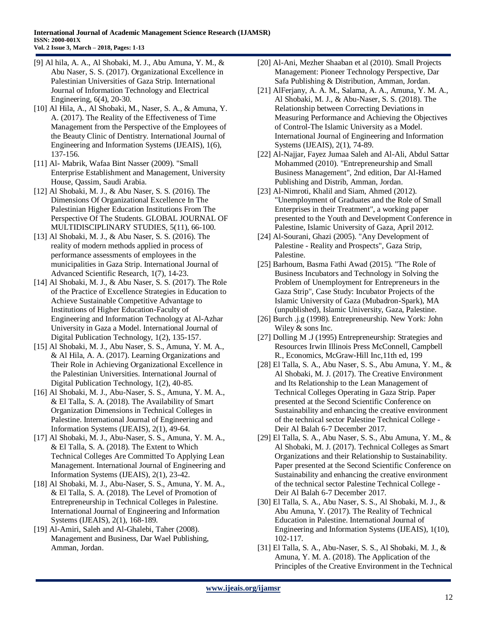- [9] Al hila, A. A., Al Shobaki, M. J., Abu Amuna, Y. M., & Abu Naser, S. S. (2017). Organizational Excellence in Palestinian Universities of Gaza Strip. International Journal of Information Technology and Electrical Engineering, 6(4), 20-30.
- [10] Al Hila, A., Al Shobaki, M., Naser, S. A., & Amuna, Y. A. (2017). The Reality of the Effectiveness of Time Management from the Perspective of the Employees of the Beauty Clinic of Dentistry. International Journal of Engineering and Information Systems (IJEAIS), 1(6), 137-156.
- [11] Al- Mabrik, Wafaa Bint Nasser (2009). "Small Enterprise Establishment and Management, University House, Qassim, Saudi Arabia.
- [12] Al Shobaki, M. J., & Abu Naser, S. S. (2016). The Dimensions Of Organizational Excellence In The Palestinian Higher Education Institutions From The Perspective Of The Students. GLOBAL JOURNAL OF MULTIDISCIPLINARY STUDIES, 5(11), 66-100.
- [13] Al Shobaki, M. J., & Abu Naser, S. S. (2016). The reality of modern methods applied in process of performance assessments of employees in the municipalities in Gaza Strip. International Journal of Advanced Scientific Research, 1(7), 14-23.
- [14] Al Shobaki, M. J., & Abu Naser, S. S. (2017). The Role of the Practice of Excellence Strategies in Education to Achieve Sustainable Competitive Advantage to Institutions of Higher Education-Faculty of Engineering and Information Technology at Al-Azhar University in Gaza a Model. International Journal of Digital Publication Technology, 1(2), 135-157.
- [15] Al Shobaki, M. J., Abu Naser, S. S., Amuna, Y. M. A., & Al Hila, A. A. (2017). Learning Organizations and Their Role in Achieving Organizational Excellence in the Palestinian Universities. International Journal of Digital Publication Technology, 1(2), 40-85.
- [16] Al Shobaki, M. J., Abu-Naser, S. S., Amuna, Y. M. A., & El Talla, S. A. (2018). The Availability of Smart Organization Dimensions in Technical Colleges in Palestine. International Journal of Engineering and Information Systems (IJEAIS), 2(1), 49-64.
- [17] Al Shobaki, M. J., Abu-Naser, S. S., Amuna, Y. M. A., & El Talla, S. A. (2018). The Extent to Which Technical Colleges Are Committed To Applying Lean Management. International Journal of Engineering and Information Systems (IJEAIS), 2(1), 23-42.
- [18] Al Shobaki, M. J., Abu-Naser, S. S., Amuna, Y. M. A., & El Talla, S. A. (2018). The Level of Promotion of Entrepreneurship in Technical Colleges in Palestine. International Journal of Engineering and Information Systems (IJEAIS), 2(1), 168-189.
- [19] Al-Amiri, Saleh and Al-Ghalebi, Taher (2008). Management and Business, Dar Wael Publishing, Amman, Jordan.
- [20] Al-Ani, Mezher Shaaban et al (2010). Small Projects Management: Pioneer Technology Perspective, Dar Safa Publishing & Distribution, Amman, Jordan.
- [21] AlFerjany, A. A. M., Salama, A. A., Amuna, Y. M. A., Al Shobaki, M. J., & Abu-Naser, S. S. (2018). The Relationship between Correcting Deviations in Measuring Performance and Achieving the Objectives of Control-The Islamic University as a Model. International Journal of Engineering and Information Systems (IJEAIS), 2(1), 74-89.
- [22] Al-Najjar, Fayez Jumaa Saleh and Al-Ali, Abdul Sattar Mohammed (2010). "Entrepreneurship and Small Business Management", 2nd edition, Dar Al-Hamed Publishing and Distrib, Amman, Jordan.
- [23] Al-Nimroti, Khalil and Siam, Ahmed (2012). "Unemployment of Graduates and the Role of Small Enterprises in their Treatment", a working paper presented to the Youth and Development Conference in Palestine, Islamic University of Gaza, April 2012.
- [24] Al-Sourani, Ghazi (2005). "Any Development of Palestine - Reality and Prospects", Gaza Strip, Palestine.
- [25] Barhoum, Basma Fathi Awad (2015). "The Role of Business Incubators and Technology in Solving the Problem of Unemployment for Entrepreneurs in the Gaza Strip", Case Study: Incubator Projects of the Islamic University of Gaza (Mubadron-Spark), MA (unpublished), Islamic University, Gaza, Palestine.
- [26] Burch .j.g (1998). Entrepreneurship. New York: John Wiley & sons Inc.
- [27] Dolling M .J (1995) Entrepreneurship: Strategies and Resources Irwin Illinois Press McConnell, Campbell R., Economics, McGraw-Hill Inc,11th ed, 199
- [28] El Talla, S. A., Abu Naser, S. S., Abu Amuna, Y. M., & Al Shobaki, M. J. (2017). The Creative Environment and Its Relationship to the Lean Management of Technical Colleges Operating in Gaza Strip. Paper presented at the Second Scientific Conference on Sustainability and enhancing the creative environment of the technical sector Palestine Technical College - Deir Al Balah 6-7 December 2017.
- [29] El Talla, S. A., Abu Naser, S. S., Abu Amuna, Y. M., & Al Shobaki, M. J. (2017). Technical Colleges as Smart Organizations and their Relationship to Sustainability. Paper presented at the Second Scientific Conference on Sustainability and enhancing the creative environment of the technical sector Palestine Technical College - Deir Al Balah 6-7 December 2017.
- [30] El Talla, S. A., Abu Naser, S. S., Al Shobaki, M. J., & Abu Amuna, Y. (2017). The Reality of Technical Education in Palestine. International Journal of Engineering and Information Systems (IJEAIS), 1(10), 102-117.
- [31] El Talla, S. A., Abu-Naser, S. S., Al Shobaki, M. J., & Amuna, Y. M. A. (2018). The Application of the Principles of the Creative Environment in the Technical